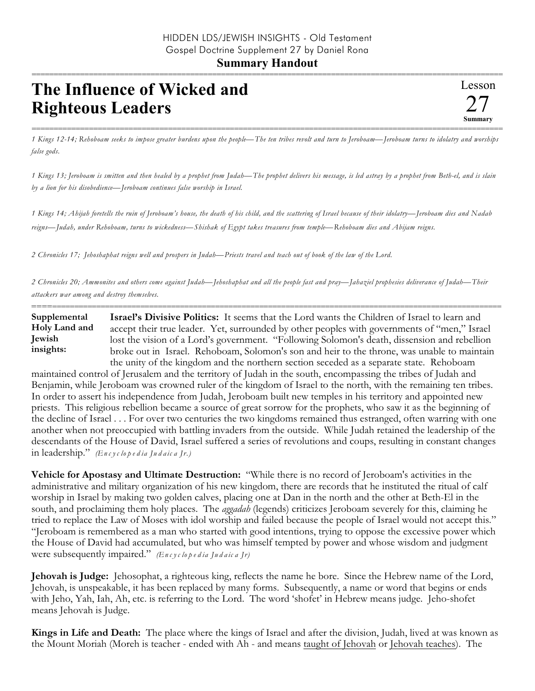## **Summary Handout** ===========================================================================================================

## **The Influence of Wicked and Righteous Leaders**

=========================================================================================================== *1 Kings 12-14; Rehoboam seeks to impose greater burdens upon the people—The ten tribes revolt and turn to Jeroboam—Jeroboam turns to idolatry and worships false gods.*

*1 Kings 13; Jeroboam is smitten and then healed by a prophet from Judah—The prophet delivers his message, is led astray by a prophet from Beth-el, and is slain by a lion for his disobedience—Jeroboam continues false worship in Israel.*

*1 Kings 14; Ahijah foretells the ruin of Jeroboam's house, the death of his child, and the scattering of Israel because of their idolatry—Jeroboam dies and Nadab reigns—Judah, under Rehoboam, turns to wickedness—Shishak of Egypt takes treasures from temple—Rehoboam dies and Abijam reigns.*

*2 Chronicles 17; Jehoshaphat reigns well and prospers in Judah—Priests travel and teach out of book of the law of the Lord.*

*2 Chronicles 20; Ammonites and others come against Judah—Jehoshaphat and all the people fast and pray—Jahaziel prophesies deliverance of Judah—Their attackers war among and destroy themselves.*

========================================================================================================== **Israel's Divisive Politics:** It seems that the Lord wants the Children of Israel to learn and accept their true leader. Yet, surrounded by other peoples with governments of "men," Israel lost the vision of a Lord's government. "Following Solomon's death, dissension and rebellion broke out in Israel. Rehoboam, Solomon's son and heir to the throne, was unable to maintain the unity of the kingdom and the northern section seceded as a separate state. Rehoboam **Supplemental Holy Land and Jewish insights:**

maintained control of Jerusalem and the territory of Judah in the south, encompassing the tribes of Judah and Benjamin, while Jeroboam was crowned ruler of the kingdom of Israel to the north, with the remaining ten tribes. In order to assert his independence from Judah, Jeroboam built new temples in his territory and appointed new priests. This religious rebellion became a source of great sorrow for the prophets, who saw it as the beginning of the decline of Israel . . . For over two centuries the two kingdoms remained thus estranged, often warring with one another when not preoccupied with battling invaders from the outside. While Judah retained the leadership of the descendants of the House of David, Israel suffered a series of revolutions and coups, resulting in constant changes in leadership." *(En c y c lo p e d ia Ju d a ic a Jr.)*

**Vehicle for Apostasy and Ultimate Destruction:** "While there is no record of Jeroboam's activities in the administrative and military organization of his new kingdom, there are records that he instituted the ritual of calf worship in Israel by making two golden calves, placing one at Dan in the north and the other at Beth-El in the south, and proclaiming them holy places. The *aggadah* (legends) criticizes Jeroboam severely for this, claiming he tried to replace the Law of Moses with idol worship and failed because the people of Israel would not accept this." "Jeroboam is remembered as a man who started with good intentions, trying to oppose the excessive power which the House of David had accumulated, but who was himself tempted by power and whose wisdom and judgment were subsequently impaired." *(En c y c lo p e d ia Ju d a ic a Jr)*

**Jehovah is Judge:** Jehosophat, a righteous king, reflects the name he bore. Since the Hebrew name of the Lord, Jehovah, is unspeakable, it has been replaced by many forms. Subsequently, a name or word that begins or ends with Jeho, Yah, Iah, Ah, etc. is referring to the Lord. The word 'shofet' in Hebrew means judge. Jeho-shofet means Jehovah is Judge.

**Kings in Life and Death:** The place where the kings of Israel and after the division, Judah, lived at was known as the Mount Moriah (Moreh is teacher - ended with Ah - and means taught of Jehovah or Jehovah teaches). The